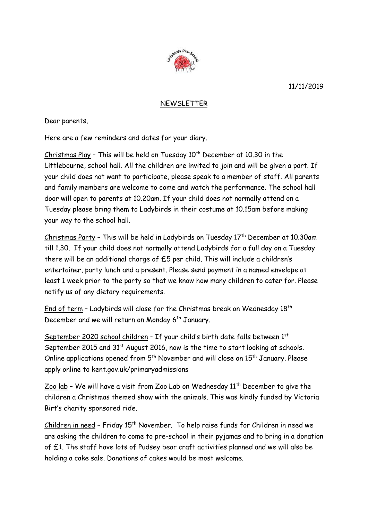11/11/2019



## NEWSLETTER

Dear parents,

Here are a few reminders and dates for your diary.

 $Christmas$  Play - This will be held on Tuesday  $10<sup>th</sup>$  December at 10.30 in the Littlebourne, school hall. All the children are invited to join and will be given a part. If your child does not want to participate, please speak to a member of staff. All parents and family members are welcome to come and watch the performance. The school hall door will open to parents at 10.20am. If your child does not normally attend on a Tuesday please bring them to Ladybirds in their costume at 10.15am before making your way to the school hall.

Christmas Party - This will be held in Ladybirds on Tuesday 17<sup>th</sup> December at 10.30am till 1.30. If your child does not normally attend Ladybirds for a full day on a Tuesday there will be an additional charge of £5 per child. This will include a children's entertainer, party lunch and a present. Please send payment in a named envelope at least 1 week prior to the party so that we know how many children to cater for. Please notify us of any dietary requirements.

End of term - Ladybirds will close for the Christmas break on Wednesday  $18<sup>th</sup>$ December and we will return on Monday 6<sup>th</sup> January.

September 2020 school children - If your child's birth date falls between 1st September 2015 and 31<sup>st</sup> August 2016, now is the time to start looking at schools. Online applications opened from  $5<sup>th</sup>$  November and will close on  $15<sup>th</sup>$  January. Please apply online to kent.gov.uk/primaryadmissions

Zoo lab - We will have a visit from Zoo Lab on Wednesday  $11<sup>th</sup>$  December to give the children a Christmas themed show with the animals. This was kindly funded by Victoria Birt's charity sponsored ride.

Children in need - Friday 15<sup>th</sup> November. To help raise funds for Children in need we are asking the children to come to pre-school in their pyjamas and to bring in a donation of £1. The staff have lots of Pudsey bear craft activities planned and we will also be holding a cake sale. Donations of cakes would be most welcome.